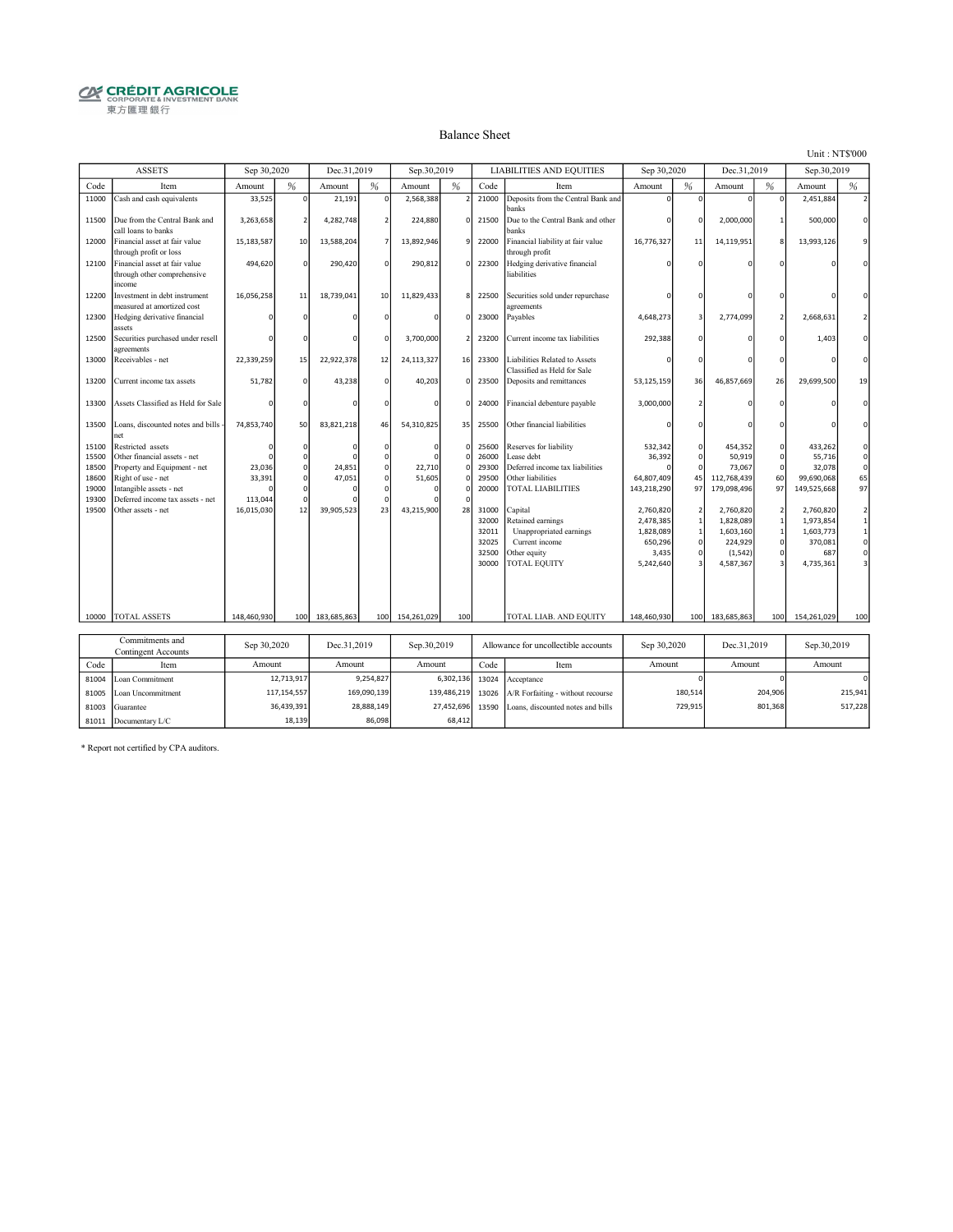# **CRÉDIT AGRICOLE**<br> **CORPORATE& INVESTMENT BANK**<br>
東方匯理銀行

#### Balance Sheet

Unit : NT\$'000

|                | <b>ASSETS</b>                                                          | Sep 30,2020 |             | Dec.31.2019 |                | Sep.30,2019 |              |                | <b>LIABILITIES AND EQUITIES</b>                              | Sep 30,2020       |                      | Dec.31.2019       |                            | Sep.30,2019       |                          |
|----------------|------------------------------------------------------------------------|-------------|-------------|-------------|----------------|-------------|--------------|----------------|--------------------------------------------------------------|-------------------|----------------------|-------------------|----------------------------|-------------------|--------------------------|
| Code           | Item                                                                   | Amount      | %           | Amount      | %              | Amount      | %            | Code           | Item                                                         | Amount            | %                    | Amount            | %                          | Amount            | $\frac{9}{6}$            |
| 11000          | Cash and cash equivalents                                              | 33,525      | $\mathbf 0$ | 21,191      | $\Omega$       | 2,568,388   |              | 21000          | Deposits from the Central Bank and<br>banks                  |                   |                      | U                 | $\mathbf 0$                | 2,451,884         | $\overline{2}$           |
| 11500          | Due from the Central Bank and<br>call loans to banks                   | 3,263,658   |             | 4,282,748   | $\mathcal{P}$  | 224.880     | $\mathbf{0}$ | 21500          | Due to the Central Bank and other<br><b>banks</b>            |                   |                      | 2.000.000         | $\mathbf{1}$               | 500.000           | $\mathbf 0$              |
| 12000          | Financial asset at fair value<br>through profit or loss                | 15,183,587  | 10          | 13,588,204  | $\overline{7}$ | 13,892,946  | 9            | 22000          | Financial liability at fair value<br>through profit          | 16,776,327        | 11                   | 14,119,951        | 8                          | 13,993,126        | 9                        |
| 12100          | Financial asset at fair value<br>through other comprehensive<br>income | 494,620     | $\Omega$    | 290,420     | $\Omega$       | 290,812     | $\Omega$     | 22300          | Hedging derivative financial<br>liabilities                  |                   |                      |                   |                            |                   | $\Omega$                 |
| 12200          | Investment in debt instrument<br>measured at amortized cost            | 16,056,258  | 11          | 18,739,041  | 10             | 11,829,433  | $\mathbf{8}$ | 22500          | Securities sold under repurchase<br>agreements               |                   |                      |                   |                            |                   | $\Omega$                 |
| 12300          | Hedging derivative financial<br>assets                                 |             | n           |             |                |             | $\Omega$     | 23000          | Payables                                                     | 4,648,273         |                      | 2,774,099         | $\mathcal{P}$              | 2,668,631         | $\mathcal{P}$            |
| 12500          | Securities purchased under resell                                      |             |             |             |                | 3,700,000   |              | 23200          | Current income tax liabilities                               | 292,388           |                      |                   | O                          | 1,403             | $\mathbf 0$              |
| 13000          | agreements<br>Receivables - net                                        | 22,339,259  | 15          | 22,922,378  | 12             | 24,113,327  | 16           | 23300          | Liabilities Related to Assets<br>Classified as Held for Sale |                   |                      |                   |                            |                   | $\Omega$                 |
| 13200          | Current income tax assets                                              | 51,782      | O           | 43,238      | $\Omega$       | 40.203      | $\mathbf 0$  | 23500          | Deposits and remittances                                     | 53.125.159        | 36                   | 46,857,669        | 26                         | 29.699.500        | 19                       |
| 13300          | Assets Classified as Held for Sale                                     |             |             |             |                |             | $\Omega$     | 24000          | Financial debenture payable                                  | 3,000,000         |                      |                   |                            |                   | $\Omega$                 |
| 13500          | Loans, discounted notes and bills -<br>net                             | 74,853,740  | 50          | 83,821,218  | 46             | 54,310,825  | 35           | 25500          | Other financial liabilities                                  |                   |                      |                   |                            |                   | $\Omega$                 |
| 15100<br>15500 | Restricted assets<br>Other financial assets - net                      |             |             |             | $\Omega$       |             |              | 25600<br>26000 | Reserves for liability<br>case debt                          | 532,342<br>36,392 | $\Omega$<br>$\Omega$ | 454,352<br>50,919 | $\mathbf 0$<br>$\mathbf 0$ | 433,262<br>55,716 | $\mathbf 0$<br>$\pmb{0}$ |
| 18500          | Property and Equipment - net                                           | 23,036      |             | 24,851      | $\Omega$       | 22,710      |              | 29300          | Deferred income tax liabilities                              |                   | $\Omega$             | 73,067            | $\Omega$                   | 32,078            | $\mathbf 0$              |
| 18600          | Right of use - net                                                     | 33,391      |             | 47,051      | $\Omega$       | 51,605      |              | 29500          | Other liabilities                                            | 64.807.409        | 45                   | 112,768,439       | 60                         | 99,690,068        | 65                       |
| 19000          | Intangible assets - net                                                |             |             |             |                |             |              | 20000          | <b>TOTAL LIABILITIES</b>                                     | 143,218,290       | 97                   | 179,098,496       | 97                         | 149,525,668       | 97                       |
| 19300          | Deferred income tax assets - net                                       | 113,044     |             |             |                |             |              |                |                                                              |                   |                      |                   |                            |                   |                          |
| 19500          | Other assets - net                                                     | 16,015,030  | 12          | 39,905,523  | 23             | 43,215,900  | 28           | 31000          | Capital                                                      | 2,760,820         |                      | 2,760,820         | $\overline{2}$             | 2,760,820         | $\mathbf 2$              |
|                |                                                                        |             |             |             |                |             |              | 32000          | Retained earnings                                            | 2,478,385         |                      | 1,828,089         | $\mathbf{1}$               | 1,973,854         | $\mathbf{1}$             |
|                |                                                                        |             |             |             |                |             |              | 32011          | Unappropriated earnings                                      | 1,828,089         | $\mathbf{1}$         | 1,603,160         | $\mathbf 1$                | 1,603,773         | $\,1\,$                  |
|                |                                                                        |             |             |             |                |             |              | 32025          | Current income                                               | 650,296           | $\Omega$             | 224,929           | $\mathsf{O}\xspace$        | 370,081           | $\pmb{0}$                |
|                |                                                                        |             |             |             |                |             |              | 32500          | Other equity                                                 | 3,435             |                      | (1, 542)          | $\mathsf{O}\xspace$        | 687               | $\pmb{0}$                |
|                |                                                                        |             |             |             |                |             |              | 30000          | <b>TOTAL EQUITY</b>                                          | 5,242,640         |                      | 4,587,367         | $\overline{\mathbf{3}}$    | 4,735,361         | 3                        |
|                |                                                                        |             |             |             |                |             |              |                |                                                              |                   |                      |                   |                            |                   |                          |
|                |                                                                        |             |             |             |                |             |              |                |                                                              |                   |                      |                   |                            |                   |                          |
| 10000          | <b>TOTAL ASSETS</b>                                                    | 148,460,930 | 100         | 183,685,863 | 100            | 154,261,029 | 100          |                | TOTAL LIAB. AND EQUITY                                       | 148,460,930       | 100                  | 183,685,863       | 100                        | 154,261,029       | 100                      |
|                | Commitments and                                                        |             |             |             |                |             |              |                |                                                              |                   |                      |                   |                            |                   |                          |
|                | Contingent Accounts                                                    | Sep 30,2020 |             | Dec.31.2019 |                | Sep.30,2019 |              |                | Allowance for uncollectible accounts                         | Sep 30,2020       |                      | Dec.31,2019       |                            | Sep.30,2019       |                          |
| Code           | Item                                                                   | Amount      |             | Amount      |                | Amount      |              | Code           | Item                                                         | Amount            |                      | Amount            |                            | Amount            |                          |

|      | <b>Contingent Accounts</b> | <b>DOD DULLOL</b> | 1.4017      | $JUPLJU_1LUIJ$ |      | Anowance for unconcentre accounts                     | <b>OCP SULLULU</b> | DU, J, LU, J | JU, JU, ZU, I |
|------|----------------------------|-------------------|-------------|----------------|------|-------------------------------------------------------|--------------------|--------------|---------------|
| Code | Item                       | Amount            | Amount      | Amount         | Code | Item                                                  | Amount             | Amount       | Amount        |
|      | 81004 Loan Commitment      | 12.713.917        | 9.254.827   |                |      | 6,302,136 13024 Acceptance                            |                    |              | ΩI            |
|      | 81005 Loan Uncommitment    | 117.154.557       | 169,090,139 |                |      | 139,486,219 13026   A/R Forfaiting - without recourse | 180.514            | 204.906      | 215.941       |
|      | 81003 Guarantee            | 36,439,391        | 28,888,149  |                |      | 27,452,696 13590 Loans, discounted notes and bills    | 729,915            | 801,368      | 517,228       |
|      | 81011 Documentary L/C      | 18,139            | 86,098      | 68,412         |      |                                                       |                    |              |               |

\* Report not certified by CPA auditors.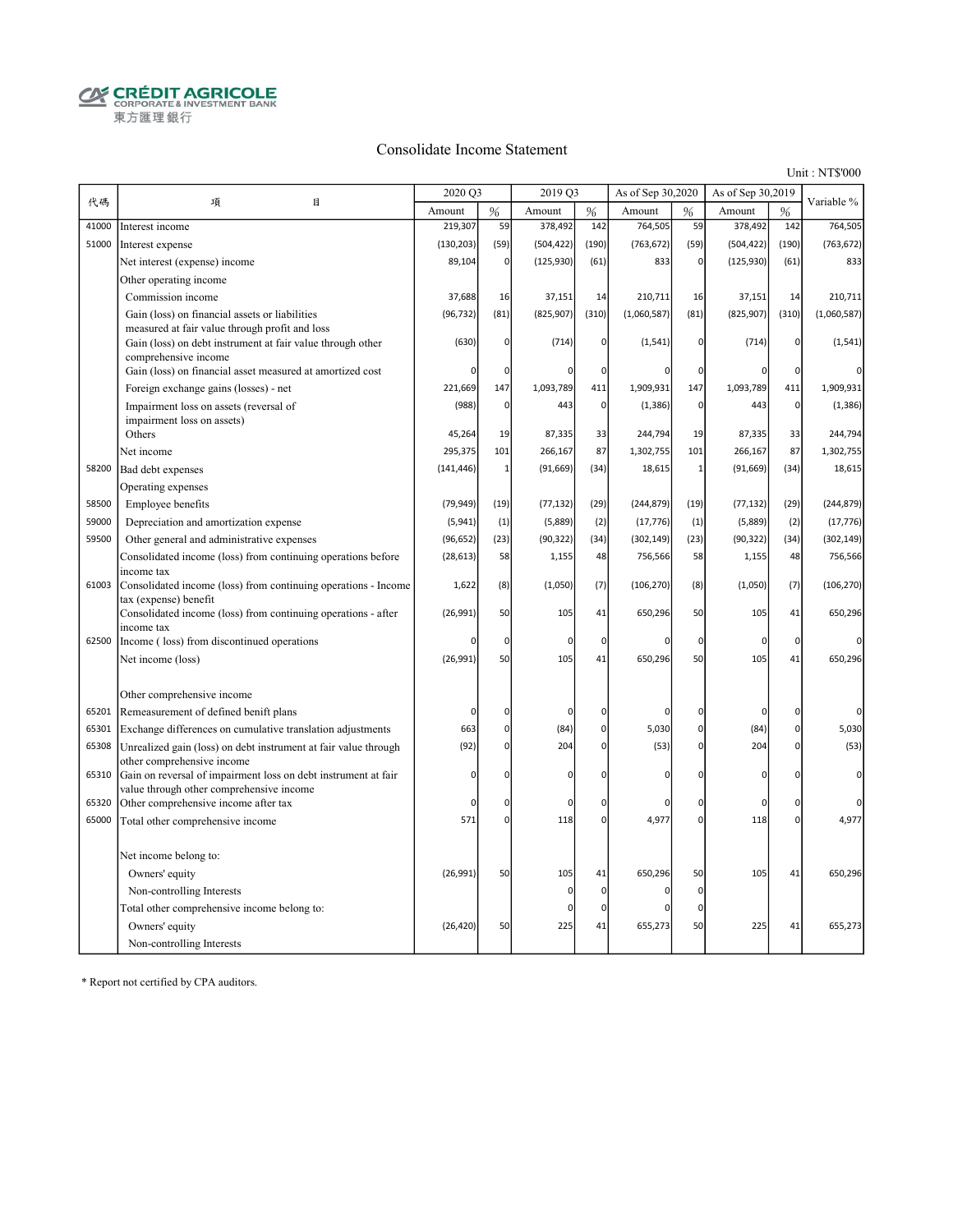$\begin{array}{ll}\begin{array}{ll}\mathbf{Q} & \mathbf{C}\mathbf{R}\mathbf{\acute{E}}\mathbf{D}\mathbf{I}\mathbf{T}\mathbf{A}\mathbf{G}\mathbf{R}\mathbf{I}\mathbf{C}\mathbf{O}\mathbf{L}\mathbf{E}\\\mathbf{C}\mathbf{R}\mathbf{P}\mathbf{O}\mathbf{R}\mathbf{A}\mathbf{T}\mathbf{E}\&\mathbf{I}\mathbf{N}\mathbf{V}\mathbf{E}\mathbf{S}\mathbf{T}\mathbf{M}\mathbf{E}\mathbf{N}\mathbf{T}\mathbf{B}\mathbf{A}\mathbf{N}\mathbf{K}\end{array}\end{array}$ 東方匯理銀行

#### Consolidate Income Statement

Unit : NT\$'000

|       |                                                                                                              | 2020 Q3     |                | 2019 Q3     |                | As of Sep 30,2020 |                | As of Sep 30,2019 |                | Variable %  |
|-------|--------------------------------------------------------------------------------------------------------------|-------------|----------------|-------------|----------------|-------------------|----------------|-------------------|----------------|-------------|
| 代碼    | 目<br>項                                                                                                       | Amount      | %              | Amount      | %              | Amount            | %              | Amount            | %              |             |
| 41000 | Interest income                                                                                              | 219,307     | 59             | 378,492     | 142            | 764,505           | 59             | 378,492           | 142            | 764,505     |
| 51000 | Interest expense                                                                                             | (130, 203)  | (59)           | (504, 422)  | (190)          | (763, 672)        | (59)           | (504, 422)        | (190)          | (763, 672)  |
|       | Net interest (expense) income                                                                                | 89,104      | $\overline{0}$ | (125, 930)  | (61)           | 833               | $\overline{0}$ | (125, 930)        | (61)           | 833         |
|       | Other operating income                                                                                       |             |                |             |                |                   |                |                   |                |             |
|       | Commission income                                                                                            | 37,688      | 16             | 37,151      | 14             | 210,711           | 16             | 37,151            | 14             | 210,711     |
|       | Gain (loss) on financial assets or liabilities                                                               | (96, 732)   | (81)           | (825, 907)  | (310)          | (1,060,587)       | (81)           | (825, 907)        | (310)          | (1,060,587) |
|       | measured at fair value through profit and loss<br>Gain (loss) on debt instrument at fair value through other | (630)       | $\Omega$       | (714)       | $\Omega$       | (1, 541)          | $\mathbf 0$    | (714)             | 0              | (1, 541)    |
|       | comprehensive income                                                                                         |             |                |             |                |                   |                |                   |                |             |
|       | Gain (loss) on financial asset measured at amortized cost                                                    | $\Omega$    | $\mathbf 0$    |             | 0              | 0                 | 0              | $\Omega$          | $\Omega$       |             |
|       | Foreign exchange gains (losses) - net                                                                        | 221,669     | 147            | 1,093,789   | 411            | 1,909,931         | 147            | 1,093,789         | 411            | 1,909,931   |
|       | Impairment loss on assets (reversal of                                                                       | (988)       | $\overline{0}$ | 443         | $\overline{0}$ | (1, 386)          | $\mathbf 0$    | 443               | $\overline{0}$ | (1, 386)    |
|       | impairment loss on assets)<br>Others                                                                         | 45,264      | 19             | 87,335      | 33             | 244,794           | 19             | 87,335            | 33             | 244,794     |
|       | Net income                                                                                                   | 295,375     | 101            | 266,167     | 87             | 1,302,755         | 101            | 266,167           | 87             | 1,302,755   |
| 58200 | Bad debt expenses                                                                                            | (141, 446)  | $\mathbf{1}$   | (91, 669)   | (34)           | 18,615            | $\mathbf{1}$   | (91, 669)         | (34)           | 18,615      |
|       | Operating expenses                                                                                           |             |                |             |                |                   |                |                   |                |             |
| 58500 | Employee benefits                                                                                            | (79, 949)   | (19)           | (77, 132)   | (29)           | (244, 879)        | (19)           | (77, 132)         | (29)           | (244, 879)  |
| 59000 | Depreciation and amortization expense                                                                        | (5,941)     | (1)            | (5,889)     | (2)            | (17, 776)         | (1)            | (5,889)           | (2)            | (17, 776)   |
| 59500 | Other general and administrative expenses                                                                    | (96, 652)   | (23)           | (90, 322)   | (34)           | (302, 149)        | (23)           | (90, 322)         | (34)           | (302, 149)  |
|       | Consolidated income (loss) from continuing operations before                                                 | (28, 613)   | 58             | 1,155       | 48             | 756,566           | 58             | 1,155             | 48             | 756,566     |
|       | income tax                                                                                                   |             |                |             |                |                   |                |                   |                |             |
| 61003 | Consolidated income (loss) from continuing operations - Income<br>tax (expense) benefit                      | 1,622       | (8)            | (1,050)     | (7)            | (106, 270)        | (8)            | (1,050)           | (7)            | (106, 270)  |
|       | Consolidated income (loss) from continuing operations - after<br>income tax                                  | (26,991)    | 50             | 105         | 41             | 650,296           | 50             | 105               | 41             | 650,296     |
| 62500 | Income (loss) from discontinued operations                                                                   | $\Omega$    | $\Omega$       | 0           | $\overline{0}$ | 0                 | $\mathbf 0$    | $\mathbf 0$       | 0              | $\Omega$    |
|       | Net income (loss)                                                                                            | (26,991)    | 50             | 105         | 41             | 650,296           | 50             | 105               | 41             | 650,296     |
|       |                                                                                                              |             |                |             |                |                   |                |                   |                |             |
|       | Other comprehensive income                                                                                   |             |                |             |                |                   |                |                   |                |             |
| 65201 | Remeasurement of defined benift plans                                                                        | $\Omega$    | 0              | $\Omega$    | $\Omega$       |                   | $\Omega$       | $\Omega$          | $\Omega$       | 0           |
| 65301 | Exchange differences on cumulative translation adjustments                                                   | 663         | $\overline{0}$ | (84)        | $\overline{0}$ | 5,030             | $\overline{0}$ | (84)              | 0              | 5,030       |
| 65308 | Unrealized gain (loss) on debt instrument at fair value through                                              | (92)        | $\Omega$       | 204         | $\Omega$       | (53)              | $\overline{0}$ | 204               | $\Omega$       | (53)        |
| 65310 | other comprehensive income<br>Gain on reversal of impairment loss on debt instrument at fair                 | $\Omega$    | $\Omega$       | $\mathbf 0$ | $\Omega$       | O                 | $\Omega$       | 0                 | $\Omega$       | $\mathbf 0$ |
|       | value through other comprehensive income                                                                     |             |                |             |                |                   |                |                   |                |             |
| 65320 | Other comprehensive income after tax                                                                         | $\mathbf 0$ | $\Omega$       | $\Omega$    | $\Omega$       | 0                 | $\mathbf 0$    | $\Omega$          | $\Omega$       | $\Omega$    |
| 65000 | Total other comprehensive income                                                                             | 571         | $\overline{0}$ | 118         | 0              | 4,977             | $\mathbf 0$    | 118               | $\Omega$       | 4,977       |
|       |                                                                                                              |             |                |             |                |                   |                |                   |                |             |
|       | Net income belong to:                                                                                        |             |                |             |                |                   |                |                   |                |             |
|       | Owners' equity                                                                                               | (26,991)    | 50             | 105         | 41             | 650,296           | 50             | 105               | 41             | 650,296     |
|       | Non-controlling Interests                                                                                    |             |                | $\Omega$    | $\overline{0}$ | 0                 | $\mathbf 0$    |                   |                |             |
|       | Total other comprehensive income belong to:                                                                  |             |                | $\Omega$    | 0              | ŋ                 | $\mathbf 0$    |                   |                |             |
|       | Owners' equity                                                                                               | (26, 420)   | 50             | 225         | 41             | 655,273           | 50             | 225               | 41             | 655,273     |
|       | Non-controlling Interests                                                                                    |             |                |             |                |                   |                |                   |                |             |

\* Report not certified by CPA auditors.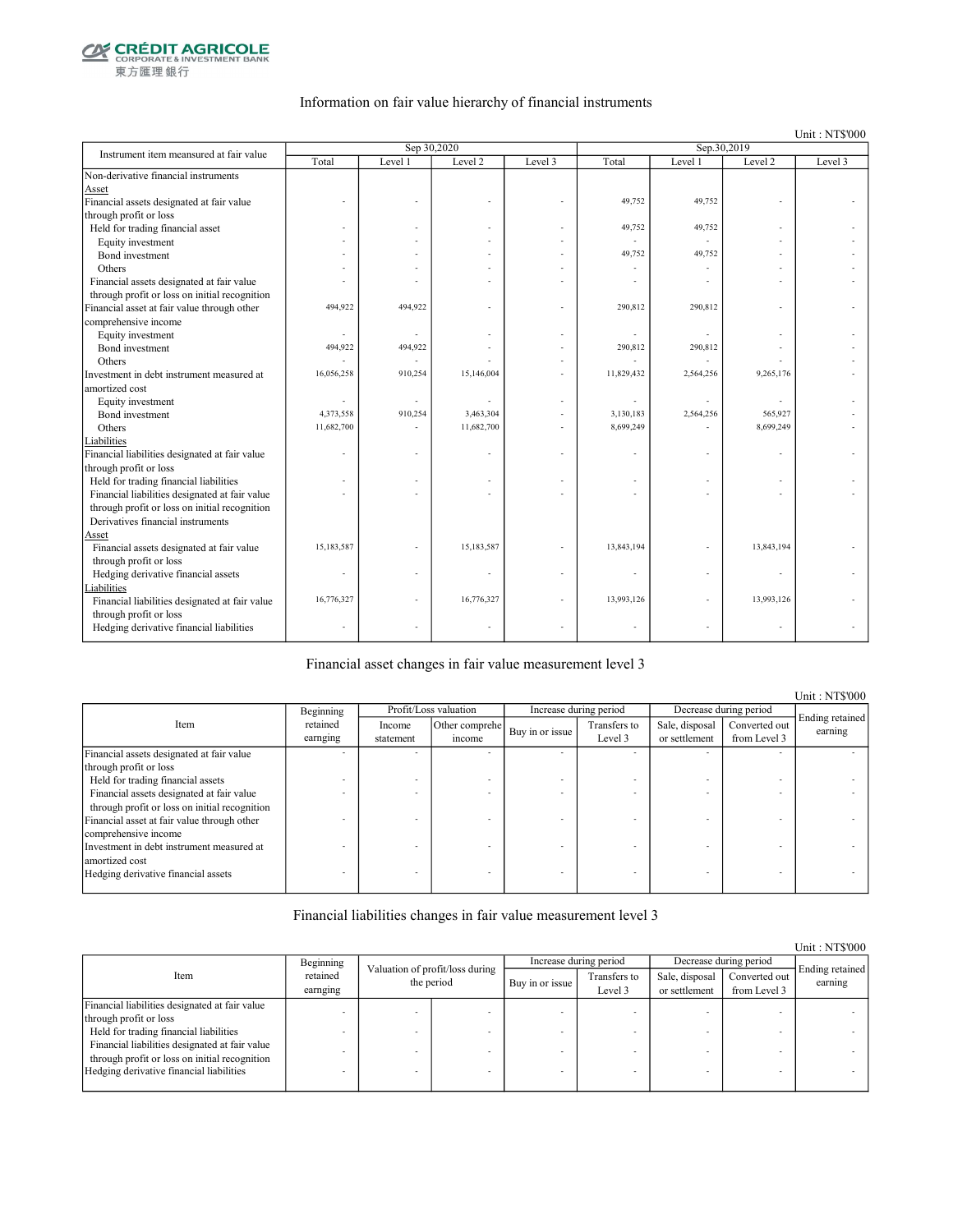

東方匯理銀行

#### Information on fair value hierarchy of financial instruments

Unit : NT\$'000

| Instrument item meansured at fair value        |            | Sep 30,2020 |            |         |            | Sep.30,2019 |                |         |
|------------------------------------------------|------------|-------------|------------|---------|------------|-------------|----------------|---------|
|                                                | Total      | Level 1     | Level 2    | Level 3 | Total      | Level 1     | Level 2        | Level 3 |
| Non-derivative financial instruments           |            |             |            |         |            |             |                |         |
| Asset                                          |            |             |            |         |            |             |                |         |
| Financial assets designated at fair value      |            |             |            |         | 49,752     | 49,752      |                |         |
| through profit or loss                         |            |             |            |         |            |             |                |         |
| Held for trading financial asset               |            |             |            |         | 49,752     | 49,752      |                |         |
| Equity investment                              |            |             |            |         |            |             |                |         |
| Bond investment                                |            |             |            |         | 49,752     | 49.752      |                |         |
| Others                                         |            |             |            |         |            |             |                |         |
| Financial assets designated at fair value      |            |             |            |         |            |             |                |         |
| through profit or loss on initial recognition  |            |             |            |         |            |             |                |         |
| Financial asset at fair value through other    | 494,922    | 494,922     |            |         | 290,812    | 290,812     |                |         |
| comprehensive income                           |            |             |            |         |            |             |                |         |
| Equity investment                              |            |             |            |         |            |             |                |         |
| Bond investment                                | 494,922    | 494,922     |            |         | 290,812    | 290,812     |                |         |
| Others                                         |            |             |            |         |            |             |                |         |
| Investment in debt instrument measured at      | 16,056,258 | 910,254     | 15,146,004 |         | 11,829,432 | 2,564,256   | 9,265,176      |         |
| amortized cost                                 |            |             |            |         |            |             |                |         |
| Equity investment                              |            |             |            |         |            |             |                |         |
| Bond investment                                | 4,373,558  | 910,254     | 3,463,304  |         | 3,130,183  | 2,564,256   | 565,927        |         |
| Others                                         | 11,682,700 |             | 11,682,700 |         | 8,699,249  |             | 8,699,249      |         |
| Liabilities                                    |            |             |            |         |            |             |                |         |
| Financial liabilities designated at fair value |            |             |            |         |            |             |                |         |
| through profit or loss                         |            |             |            |         |            |             |                |         |
| Held for trading financial liabilities         |            |             |            |         |            |             |                |         |
| Financial liabilities designated at fair value |            |             |            |         |            |             |                |         |
| through profit or loss on initial recognition  |            |             |            |         |            |             |                |         |
| Derivatives financial instruments              |            |             |            |         |            |             |                |         |
| Asset                                          |            |             |            |         |            |             |                |         |
| Financial assets designated at fair value      | 15,183,587 |             | 15,183,587 |         | 13,843,194 |             | 13,843,194     |         |
| through profit or loss                         |            |             |            |         |            |             |                |         |
| Hedging derivative financial assets            |            |             |            |         |            |             |                |         |
| Liabilities                                    |            |             |            |         |            |             |                |         |
| Financial liabilities designated at fair value | 16,776,327 |             | 16,776,327 |         | 13,993,126 |             | 13,993,126     |         |
| through profit or loss                         |            |             |            |         |            |             |                |         |
| Hedging derivative financial liabilities       |            |             |            |         |            |             | $\overline{a}$ |         |
|                                                |            |             |            |         |            |             |                |         |

Financial asset changes in fair value measurement level 3

Income statement Other comprehe  $\begin{array}{c|c}\n\text{er complete} \\
\text{if the same line} \\
\text{if the same line} \\
\end{array}$ Level 3 Sale, disposal or settlement Converted out from Level 3 Financial assets designated at fair value through profit or loss - - - - - - - - Held for trading financial assets  $\blacksquare$ <br>Financial assets designated at fair value Financial assets designated at fair value through profit or loss on initial recognition - - - - - - - - Financial asset at fair value through other comprehensive income - - - - - - - - Investment in debt instrument measured at amortized cost - - - - - - - - Hedging derivative financial assets Ending retained earning Beginning retained earnging Item Profit/Loss valuation Increase during period Decrease during period

Financial liabilities changes in fair value measurement level 3

|                                                |                      |                                 |                 |                         |                                 |                               | Unit: NT\$000              |
|------------------------------------------------|----------------------|---------------------------------|-----------------|-------------------------|---------------------------------|-------------------------------|----------------------------|
|                                                | Beginning            | Valuation of profit/loss during |                 | Increase during period  |                                 | Decrease during period        |                            |
| Item                                           | retained<br>earnging | the period                      | Buy in or issue | Transfers to<br>Level 3 | Sale, disposal<br>or settlement | Converted out<br>from Level 3 | Ending retained<br>earning |
| Financial liabilities designated at fair value |                      |                                 |                 |                         |                                 |                               |                            |
| through profit or loss                         |                      |                                 |                 |                         |                                 |                               |                            |
| Held for trading financial liabilities         |                      |                                 |                 |                         |                                 |                               |                            |
| Financial liabilities designated at fair value |                      |                                 |                 |                         |                                 |                               |                            |
| through profit or loss on initial recognition  |                      |                                 |                 |                         |                                 |                               |                            |
| Hedging derivative financial liabilities       |                      |                                 |                 |                         |                                 | -                             |                            |
|                                                |                      |                                 |                 |                         |                                 |                               |                            |

Unit : NT\$'000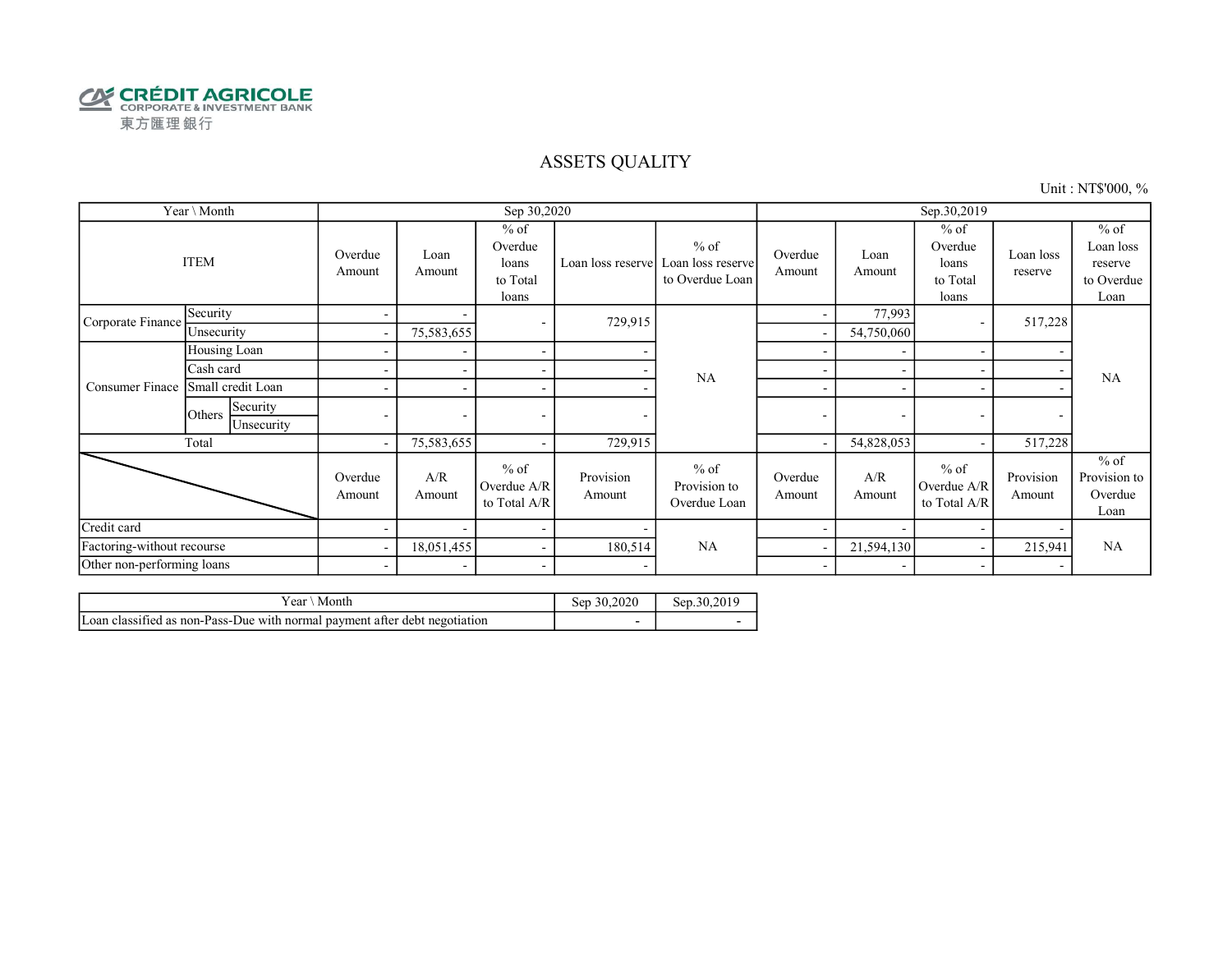

#### ASSETS QUALITY

Unit : NT\$'000, %

|                            | Year \ Month                     |                          |                          | Sep 30,2020                                     |                     |                                                |                          |                          | Sep.30,2019                                     |                          |                                                      |
|----------------------------|----------------------------------|--------------------------|--------------------------|-------------------------------------------------|---------------------|------------------------------------------------|--------------------------|--------------------------|-------------------------------------------------|--------------------------|------------------------------------------------------|
|                            | <b>ITEM</b>                      | Overdue<br>Amount        | Loan<br>Amount           | $%$ of<br>Overdue<br>loans<br>to Total<br>loans | Loan loss reserve   | $%$ of<br>Loan loss reserve<br>to Overdue Loan | Overdue<br>Amount        | Loan<br>Amount           | $%$ of<br>Overdue<br>loans<br>to Total<br>loans | Loan loss<br>reserve     | $%$ of<br>Loan loss<br>reserve<br>to Overdue<br>Loan |
| Corporate Finance          | Security                         | $\overline{\phantom{a}}$ |                          | ۰                                               | 729,915             |                                                | $\overline{\phantom{a}}$ | 77,993                   |                                                 | 517,228                  |                                                      |
|                            | Unsecurity                       | $\overline{\phantom{a}}$ | 75,583,655               |                                                 |                     |                                                |                          | 54,750,060               |                                                 |                          |                                                      |
|                            | Housing Loan                     |                          |                          | $\overline{\phantom{a}}$                        |                     |                                                |                          |                          |                                                 |                          |                                                      |
|                            | Cash card                        |                          |                          | $\overline{\phantom{a}}$                        |                     | NA                                             |                          |                          |                                                 |                          | NA                                                   |
| Consumer Finace            | Small credit Loan                |                          |                          | $\overline{\phantom{a}}$                        |                     |                                                | $\overline{\phantom{a}}$ |                          |                                                 |                          |                                                      |
|                            | Security<br>Others<br>Unsecurity | ٠                        | $\overline{\phantom{0}}$ | $\overline{\phantom{a}}$                        |                     |                                                | $\overline{\phantom{a}}$ | $\overline{\phantom{a}}$ | $\overline{\phantom{a}}$                        | $\overline{\phantom{a}}$ |                                                      |
|                            | Total                            | $\overline{\phantom{a}}$ | 75,583,655               | ۰                                               | 729,915             |                                                |                          | 54,828,053               |                                                 | 517,228                  |                                                      |
|                            |                                  | Overdue<br>Amount        | A/R<br>Amount            | $%$ of<br>Overdue A/R<br>to Total A/R           | Provision<br>Amount | $%$ of<br>Provision to<br>Overdue Loan         | Overdue<br>Amount        | A/R<br>Amount            | $%$ of<br>Overdue A/R<br>to Total A/R           | Provision<br>Amount      | $%$ of<br>Provision to<br>Overdue<br>Loan            |
| Credit card                |                                  |                          |                          | $\overline{\phantom{a}}$                        |                     |                                                |                          | $\overline{\phantom{0}}$ | $\overline{\phantom{0}}$                        |                          |                                                      |
| Factoring-without recourse |                                  | $\overline{\phantom{a}}$ | 18,051,455               | $\overline{\phantom{a}}$                        | 180,514             | NA                                             |                          | 21,594,130               |                                                 | 215,941                  | <b>NA</b>                                            |
| Other non-performing loans |                                  | $\overline{\phantom{a}}$ | $\overline{\phantom{a}}$ | $\overline{\phantom{a}}$                        |                     |                                                | $\overline{\phantom{a}}$ |                          |                                                 |                          |                                                      |

| r ear<br>Month                                                                       | sen<br>-50. | 2010<br>Sen.<br>-30. |
|--------------------------------------------------------------------------------------|-------------|----------------------|
| $\sim$<br>Loan classified as non-Pass-Due with normal payment after debt negotiation |             |                      |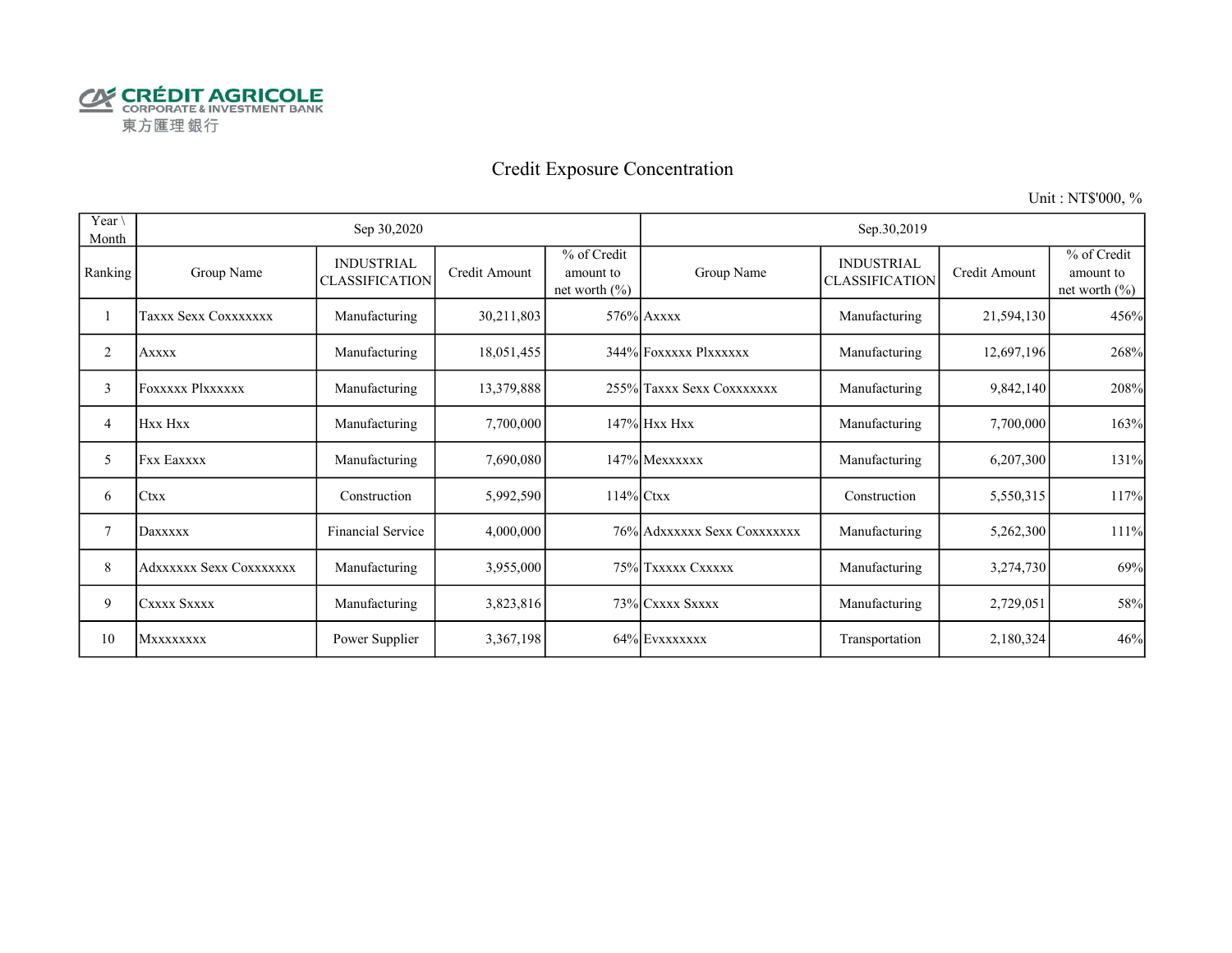

# Credit Exposure Concentration

Unit : NT\$'000, %

| Year \<br>Month |                         | Sep 30,2020                                |               |                                               |                             | Sep.30,2019                                |               |                                               |
|-----------------|-------------------------|--------------------------------------------|---------------|-----------------------------------------------|-----------------------------|--------------------------------------------|---------------|-----------------------------------------------|
| Ranking         | Group Name              | <b>INDUSTRIAL</b><br><b>CLASSIFICATION</b> | Credit Amount | % of Credit<br>amount to<br>net worth $(\% )$ | Group Name                  | <b>INDUSTRIAL</b><br><b>CLASSIFICATION</b> | Credit Amount | % of Credit<br>amount to<br>net worth $(\% )$ |
|                 | Taxxx Sexx Coxxxxxxx    | Manufacturing                              | 30,211,803    |                                               | $576\%$ Axxxx               | Manufacturing                              | 21,594,130    | 456%                                          |
| 2               | <b>Axxxx</b>            | Manufacturing                              | 18,051,455    |                                               | 344% Foxxxxx Plxxxxxx       | Manufacturing                              | 12,697,196    | 268%                                          |
| 3               | Foxxxxx Plxxxxxx        | Manufacturing                              | 13,379,888    |                                               | 255% Taxxx Sexx Coxxxxxxx   | Manufacturing                              | 9,842,140     | 208%                                          |
| 4               | Hxx Hxx                 | Manufacturing                              | 7,700,000     |                                               | 147% Hxx Hxx                | Manufacturing                              | 7,700,000     | 163%                                          |
| 5               | <b>Fxx Eaxxxx</b>       | Manufacturing                              | 7,690,080     |                                               | 147% Mexxxxxx               | Manufacturing                              | 6,207,300     | 131%                                          |
| 6               | ICtxx                   | Construction                               | 5,992,590     | 114% Ctxx                                     |                             | Construction                               | 5,550,315     | 117%                                          |
| 7               | Daxxxxx                 | Financial Service                          | 4,000,000     |                                               | 76% Adxxxxxx Sexx Coxxxxxxx | Manufacturing                              | 5,262,300     | 111%                                          |
| 8               | Adxxxxxx Sexx Coxxxxxxx | Manufacturing                              | 3,955,000     |                                               | 75% Txxxxx Cxxxxx           | Manufacturing                              | 3,274,730     | 69%                                           |
| 9               | CXXXX SXXXX             | Manufacturing                              | 3,823,816     |                                               | 73% CXXXX SXXXX             | Manufacturing                              | 2,729,051     | 58%                                           |
| 10              | <b>MXXXXXXXX</b>        | Power Supplier                             | 3,367,198     |                                               | 64% EVXXXXXXX               | Transportation                             | 2,180,324     | 46%                                           |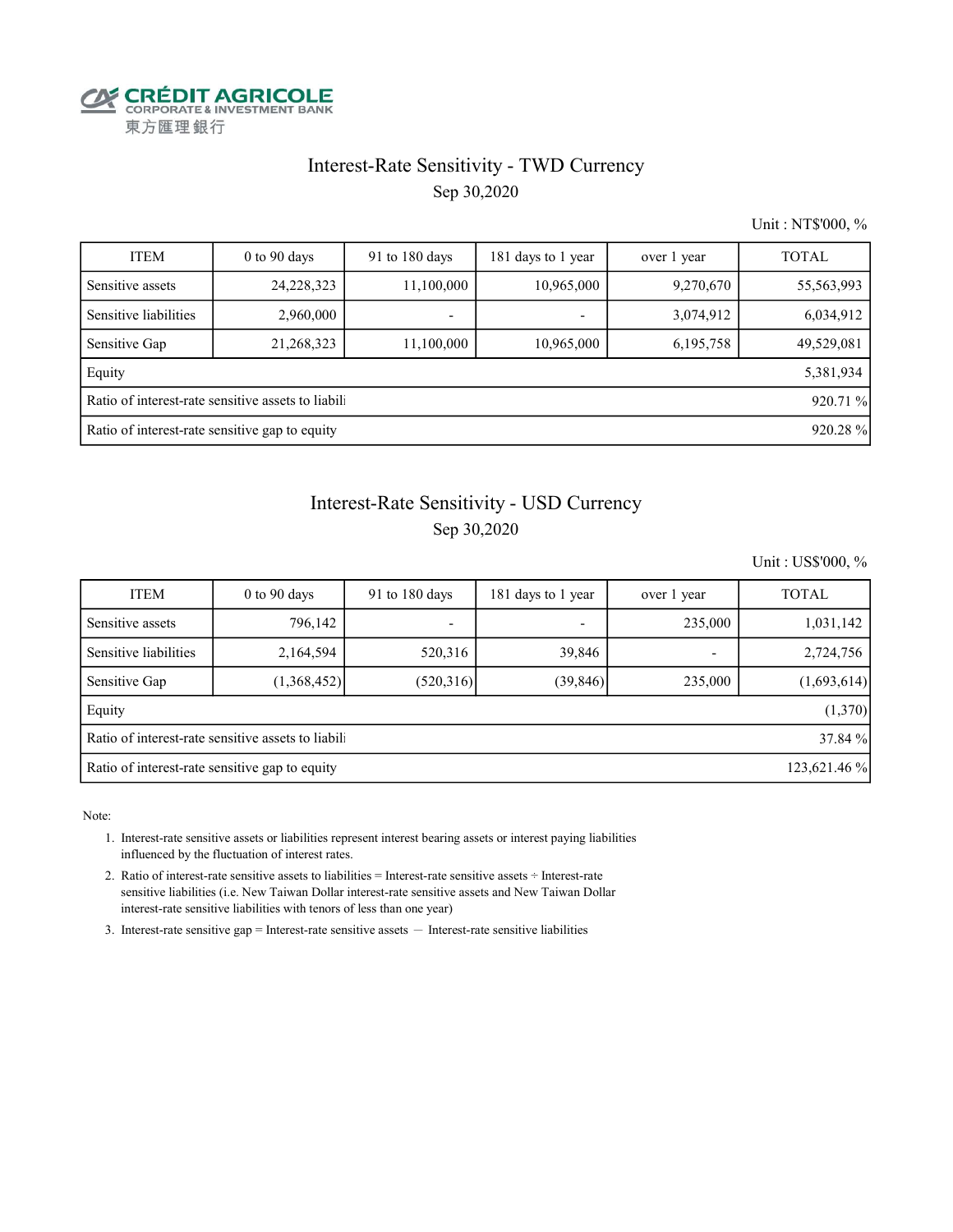

#### Interest-Rate Sensitivity - TWD Currency

Sep 30,2020

Unit : NT\$'000, %

| <b>ITEM</b>                                               | $0$ to 90 days | 91 to 180 days | 181 days to 1 year | over 1 year | <b>TOTAL</b> |  |  |  |
|-----------------------------------------------------------|----------------|----------------|--------------------|-------------|--------------|--|--|--|
| Sensitive assets                                          | 24, 228, 323   | 11,100,000     | 10,965,000         | 9,270,670   | 55,563,993   |  |  |  |
| Sensitive liabilities                                     | 2,960,000      |                | -                  | 3,074,912   | 6,034,912    |  |  |  |
| Sensitive Gap                                             | 21,268,323     | 11,100,000     | 10,965,000         | 6,195,758   | 49,529,081   |  |  |  |
| Equity                                                    |                |                |                    |             | 5,381,934    |  |  |  |
| Ratio of interest-rate sensitive assets to liabili        |                |                |                    |             |              |  |  |  |
| Ratio of interest-rate sensitive gap to equity<br>920.28% |                |                |                    |             |              |  |  |  |

#### Interest-Rate Sensitivity - USD Currency

Sep 30,2020

Unit : US\$'000, %

| <b>ITEM</b>                                                    | $0$ to $90$ days | 91 to 180 days | 181 days to 1 year | over 1 year | <b>TOTAL</b> |  |  |
|----------------------------------------------------------------|------------------|----------------|--------------------|-------------|--------------|--|--|
| Sensitive assets                                               | 796,142          | -              | ۰                  | 235,000     | 1,031,142    |  |  |
| Sensitive liabilities                                          | 2,164,594        | 520,316        | 39,846             |             | 2,724,756    |  |  |
| Sensitive Gap                                                  | (1,368,452)      | (520,316)      | (39, 846)          | 235,000     | (1,693,614)  |  |  |
| Equity                                                         |                  |                |                    |             | (1,370)      |  |  |
| Ratio of interest-rate sensitive assets to liabili             |                  |                |                    |             |              |  |  |
| Ratio of interest-rate sensitive gap to equity<br>123,621.46 % |                  |                |                    |             |              |  |  |

Note:

 1. Interest-rate sensitive assets or liabilities represent interest bearing assets or interest paying liabilities influenced by the fluctuation of interest rates.

 2. Ratio of interest-rate sensitive assets to liabilities = Interest-rate sensitive assets ÷ Interest-rate sensitive liabilities (i.e. New Taiwan Dollar interest-rate sensitive assets and New Taiwan Dollar interest-rate sensitive liabilities with tenors of less than one year)

3. Interest-rate sensitive gap = Interest-rate sensitive assets  $-$  Interest-rate sensitive liabilities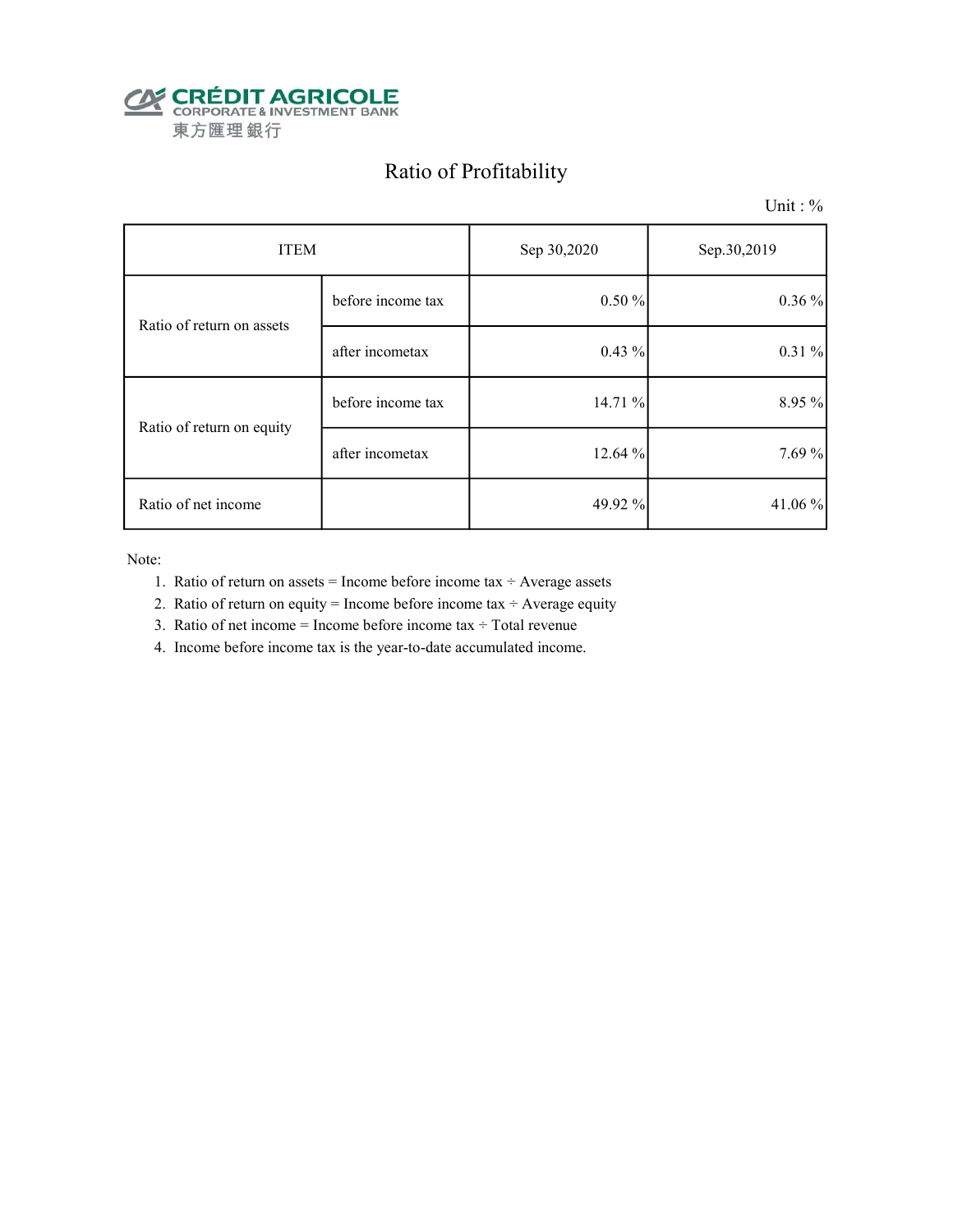

## Ratio of Profitability

Unit : %

| <b>ITEM</b>               |                   | Sep 30,2020 | Sep.30,2019 |
|---------------------------|-------------------|-------------|-------------|
| Ratio of return on assets | before income tax | $0.50 \%$   | $0.36\%$    |
|                           | after incometax   | $0.43\%$    | 0.31%       |
| Ratio of return on equity | before income tax | 14.71 %     | 8.95 %      |
|                           | after incometax   | 12.64 %     | 7.69 %      |
| Ratio of net income       |                   | 49.92 %     | 41.06 $%$   |

Note:

- 1. Ratio of return on assets = Income before income tax  $\div$  Average assets
- 2. Ratio of return on equity = Income before income tax  $\div$  Average equity
- 3. Ratio of net income = Income before income tax  $\div$  Total revenue
- 4. Income before income tax is the year-to-date accumulated income.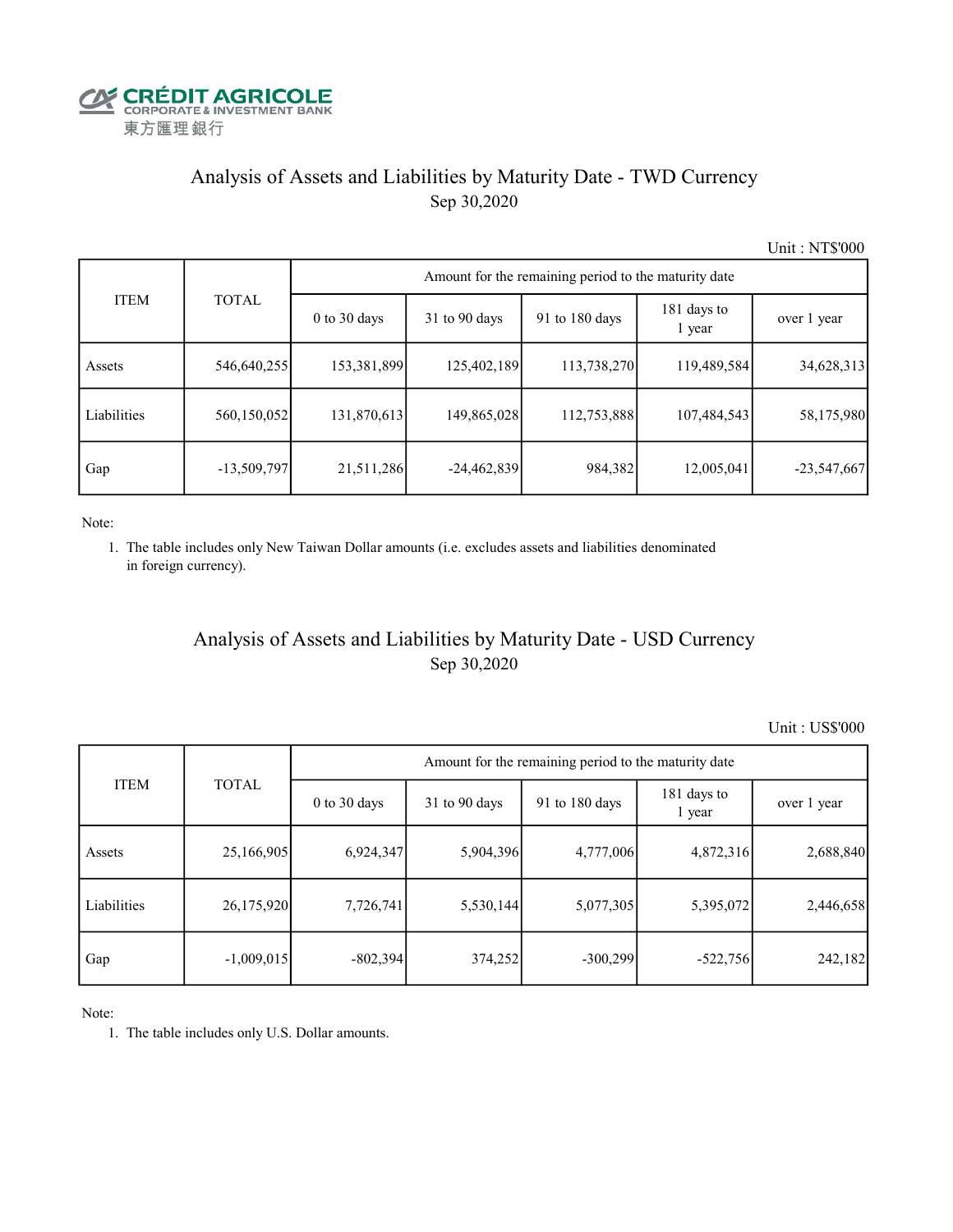

#### Analysis of Assets and Liabilities by Maturity Date - TWD Currency Sep 30,2020

Unit : NT\$'000

|             |               | Amount for the remaining period to the maturity date |               |                |                       |               |  |  |  |  |
|-------------|---------------|------------------------------------------------------|---------------|----------------|-----------------------|---------------|--|--|--|--|
| <b>ITEM</b> | <b>TOTAL</b>  | $0$ to $30$ days                                     | 31 to 90 days | 91 to 180 days | 181 days to<br>1 year | over 1 year   |  |  |  |  |
| Assets      | 546,640,255   | 153,381,899                                          | 125,402,189   | 113,738,270    | 119,489,584           | 34,628,313    |  |  |  |  |
| Liabilities | 560,150,052   | 131,870,613                                          | 149,865,028   | 112,753,888    | 107,484,543           | 58,175,980    |  |  |  |  |
| Gap         | $-13,509,797$ | 21,511,286                                           | $-24,462,839$ | 984,382        | 12,005,041            | $-23,547,667$ |  |  |  |  |

Note:

 1. The table includes only New Taiwan Dollar amounts (i.e. excludes assets and liabilities denominated in foreign currency).

#### Analysis of Assets and Liabilities by Maturity Date - USD Currency Sep 30,2020

Unit : US\$'000

|             | <b>TOTAL</b> | Amount for the remaining period to the maturity date |                 |                |                       |             |  |  |
|-------------|--------------|------------------------------------------------------|-----------------|----------------|-----------------------|-------------|--|--|
| <b>ITEM</b> |              | $0$ to $30$ days                                     | $31$ to 90 days | 91 to 180 days | 181 days to<br>1 year | over 1 year |  |  |
| Assets      | 25,166,905   | 6,924,347                                            | 5,904,396       | 4,777,006      | 4,872,316             | 2,688,840   |  |  |
| Liabilities | 26,175,920   | 7,726,741                                            | 5,530,144       | 5,077,305      | 5,395,072             | 2,446,658   |  |  |
| Gap         | $-1,009,015$ | $-802,394$                                           | 374,252         | $-300,299$     | $-522,756$            | 242,182     |  |  |

Note:

1. The table includes only U.S. Dollar amounts.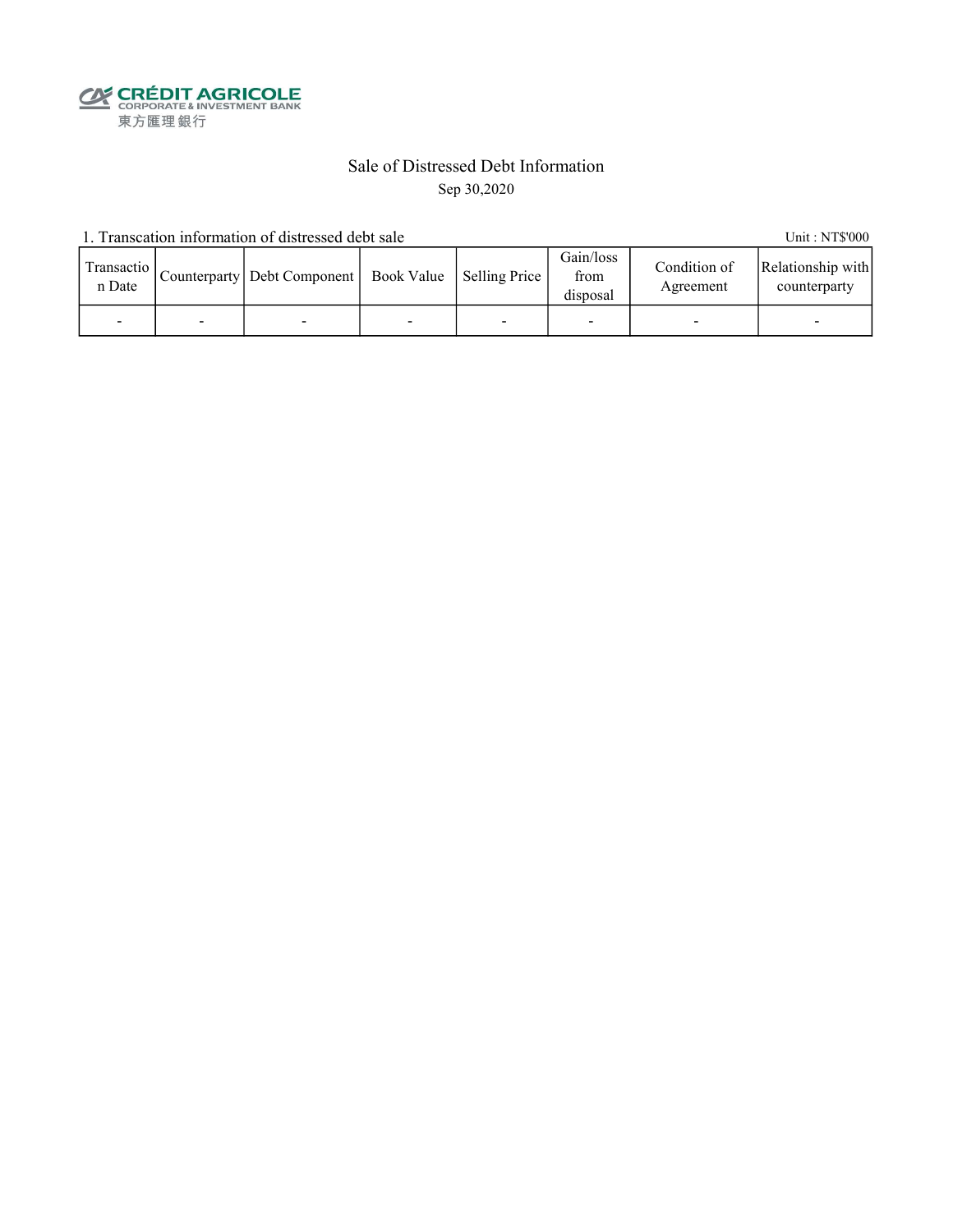**CALEDIT AGRICOLE**<br>
CORPORATE & INVESTMENT BANK<br>
東方匯理銀行

#### Sale of Distressed Debt Information Sep 30,2020

1. Transcation information of distressed debt sale Unit: NT\$'000

| Transactio<br>n Date |   | Counterparty   Debt Component   Book Value   Selling Price |   | Gain/loss<br>from<br>disposal | Condition of<br>Agreement | Relationship with<br>counterparty |
|----------------------|---|------------------------------------------------------------|---|-------------------------------|---------------------------|-----------------------------------|
|                      | - |                                                            | - |                               |                           | -                                 |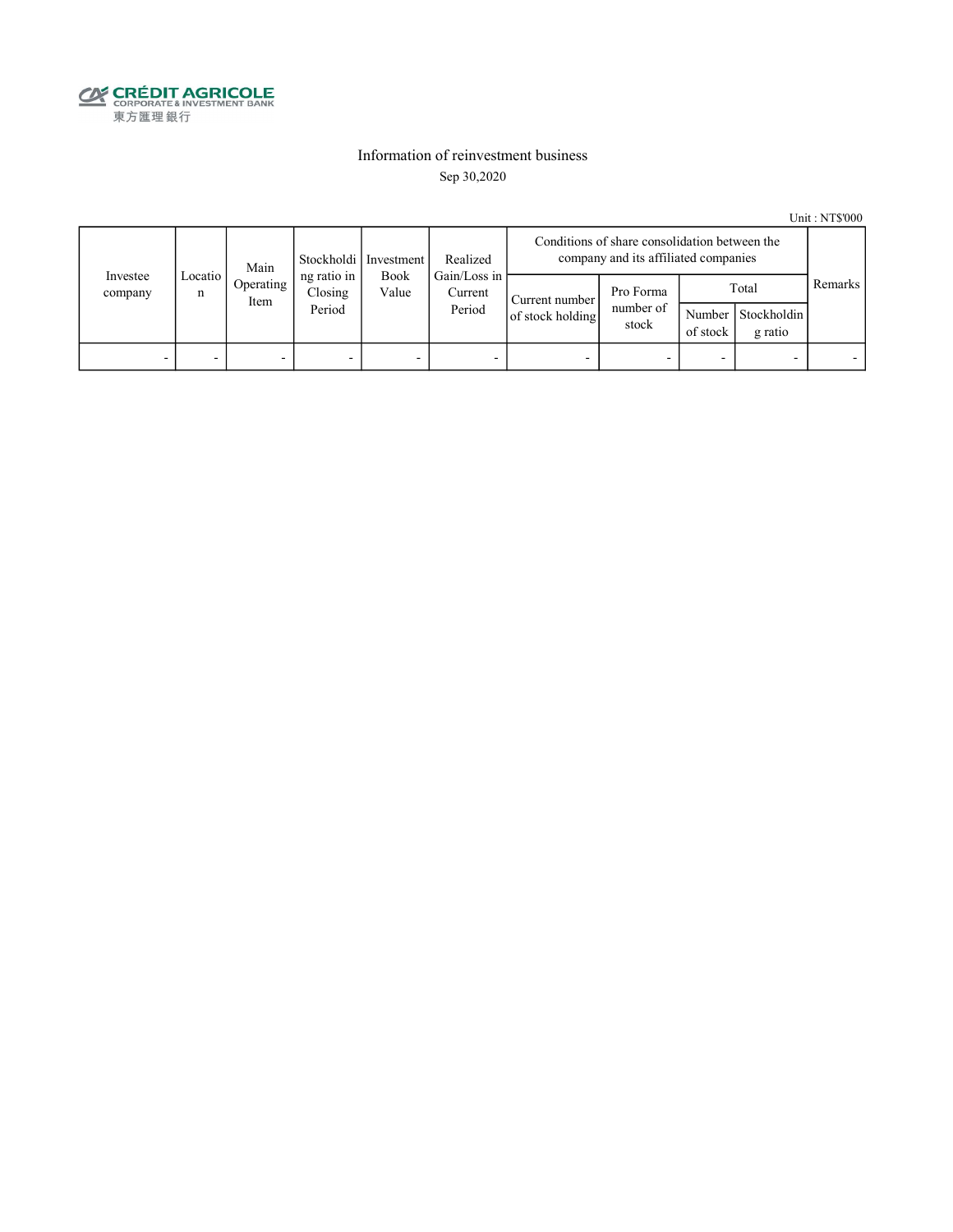

#### Information of reinvestment business Sep 30,2020

Unit : NT\$'000

|                          | Main         |                          | Realized<br>Stockholdi   Investment |               | Conditions of share consolidation between the<br>company and its affiliated companies |                                    |                                 |                    |                                 |         |
|--------------------------|--------------|--------------------------|-------------------------------------|---------------|---------------------------------------------------------------------------------------|------------------------------------|---------------------------------|--------------------|---------------------------------|---------|
| Investee<br>company      | Locatio<br>n | Operating<br>Item        | ng ratio in<br>Closing<br>Period    | Book<br>Value | Gain/Loss in<br>Current<br>Period                                                     | Current number<br>of stock holding | Pro Forma<br>number of<br>stock | Number<br>of stock | Total<br>Stockholdin<br>g ratio | Remarks |
| $\overline{\phantom{0}}$ |              | $\overline{\phantom{0}}$ |                                     | -             |                                                                                       |                                    | -                               |                    |                                 |         |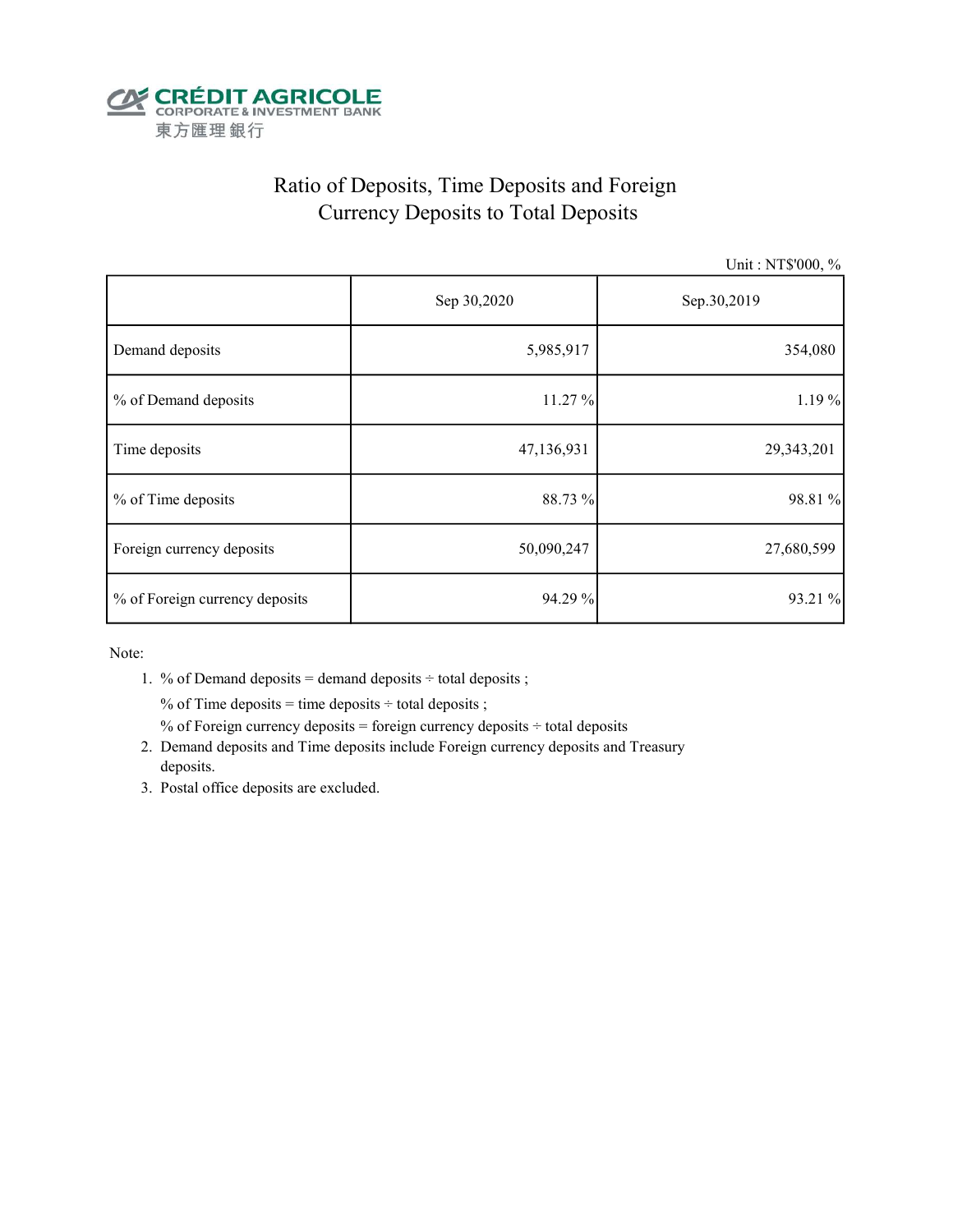

## Ratio of Deposits, Time Deposits and Foreign Currency Deposits to Total Deposits

Unit : NT\$'000, %

|                                | Sep 30,2020 | Sep.30,2019 |  |
|--------------------------------|-------------|-------------|--|
| Demand deposits                | 5,985,917   | 354,080     |  |
| % of Demand deposits           | 11.27 %     | 1.19 %      |  |
| Time deposits                  | 47,136,931  | 29,343,201  |  |
| % of Time deposits             | 88.73 %     | 98.81 %     |  |
| Foreign currency deposits      | 50,090,247  | 27,680,599  |  |
| % of Foreign currency deposits | 94.29 %     | 93.21 %     |  |

Note:

1. % of Demand deposits = demand deposits  $\div$  total deposits ;

% of Time deposits = time deposits  $\div$  total deposits ;

% of Foreign currency deposits = foreign currency deposits  $\div$  total deposits

- 2. Demand deposits and Time deposits include Foreign currency deposits and Treasury deposits.
- 3. Postal office deposits are excluded.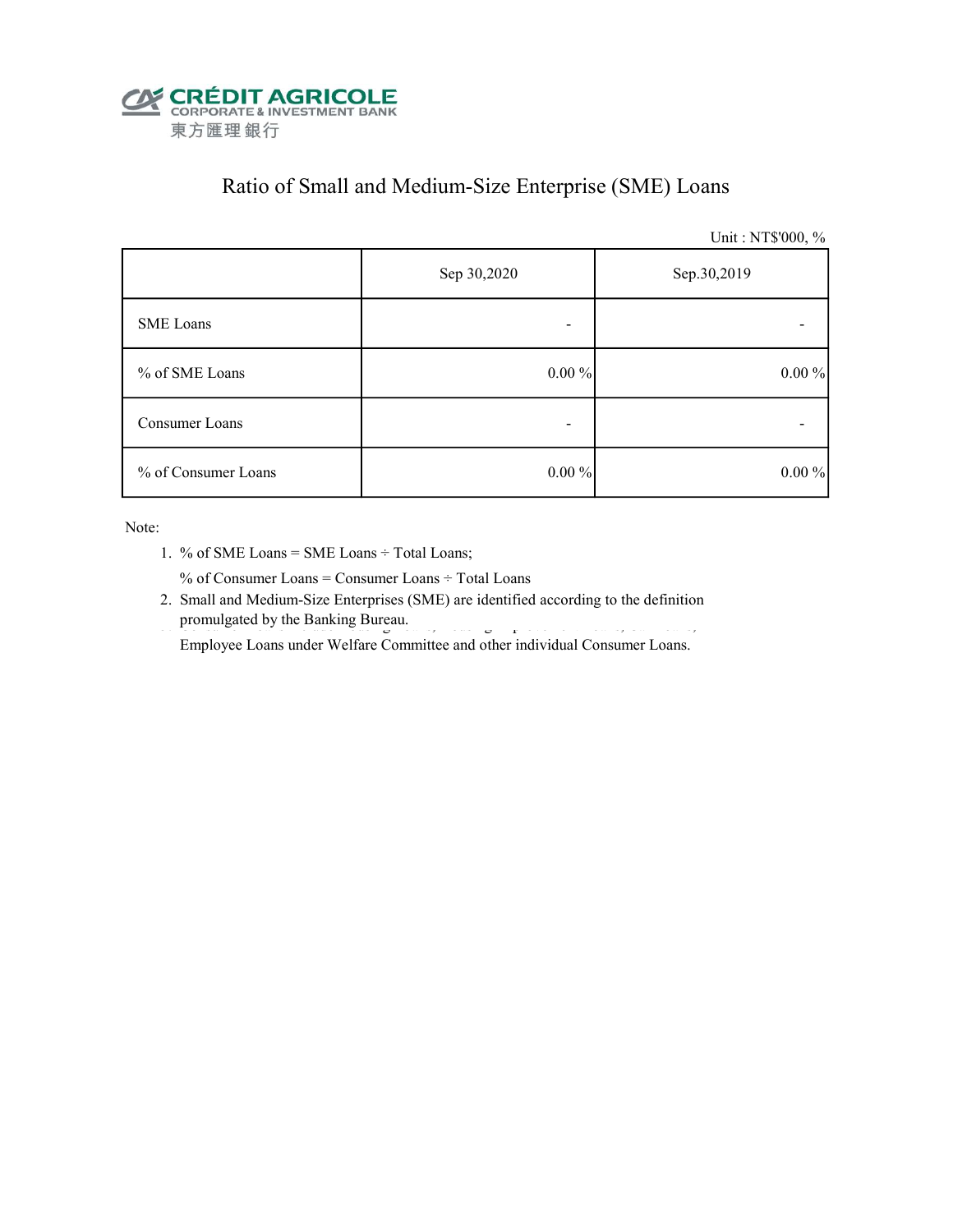

## Ratio of Small and Medium-Size Enterprise (SME) Loans

Unit : NT\$'000, %

|                     | Sep 30,2020 | Sep.30,2019 |  |  |
|---------------------|-------------|-------------|--|--|
| <b>SME</b> Loans    |             |             |  |  |
| % of SME Loans      | $0.00 \%$   | $0.00\%$    |  |  |
| Consumer Loans      |             |             |  |  |
| % of Consumer Loans | $0.00\%$    | $0.00\%$    |  |  |

Note:

1. % of SME Loans = SME Loans ÷ Total Loans;

% of Consumer Loans = Consumer Loans ÷ Total Loans

 2. Small and Medium-Size Enterprises (SME) are identified according to the definition promulgated by the Banking Bureau.

Employee Loans under Welfare Committee and other individual Consumer Loans.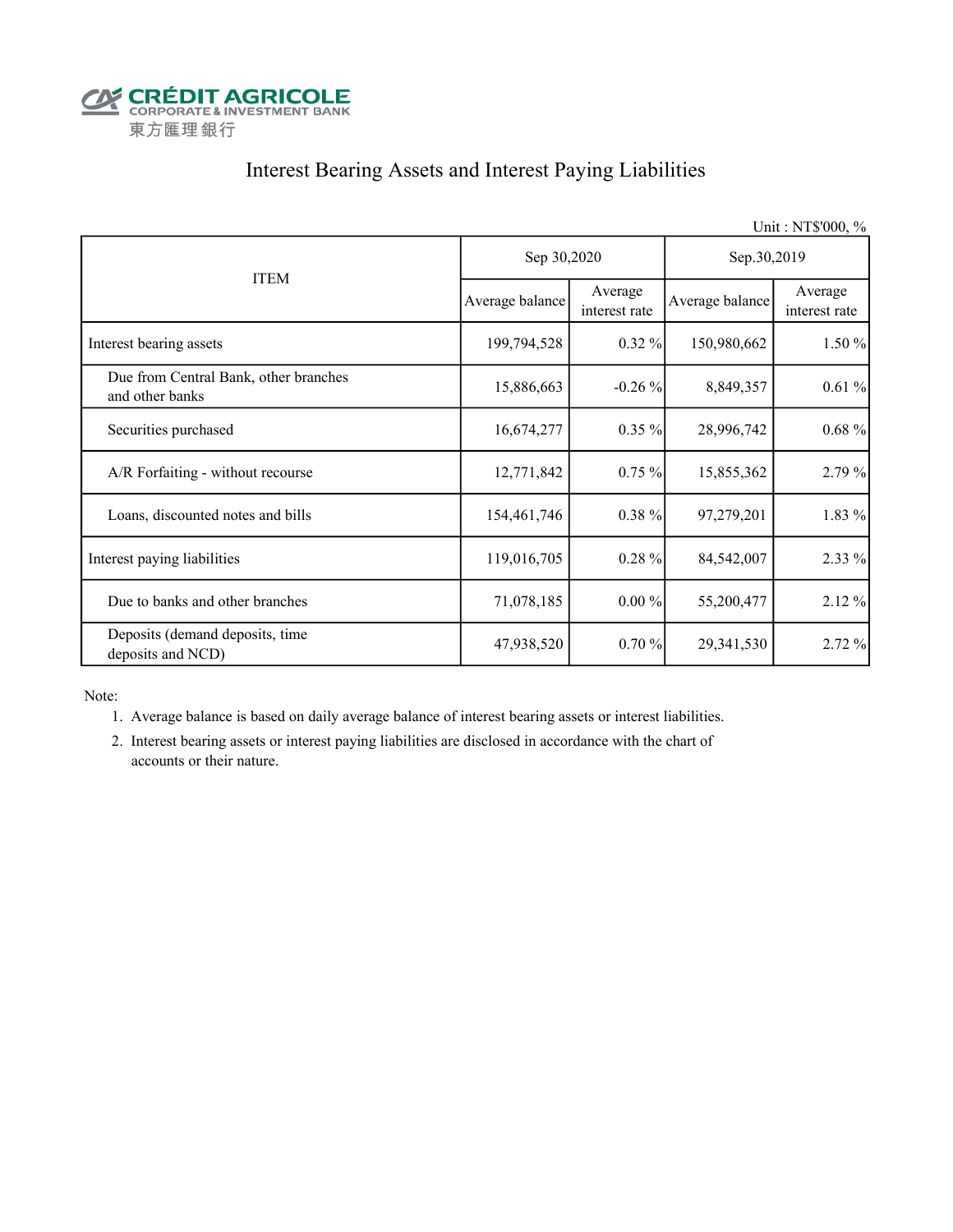

### Interest Bearing Assets and Interest Paying Liabilities

|                                                          |                 |                          |                 | Unit: NT\$'000, %        |  |
|----------------------------------------------------------|-----------------|--------------------------|-----------------|--------------------------|--|
|                                                          | Sep 30,2020     |                          | Sep.30,2019     |                          |  |
| <b>ITEM</b>                                              | Average balance | Average<br>interest rate | Average balance | Average<br>interest rate |  |
| Interest bearing assets                                  | 199,794,528     | $0.32\%$                 | 150,980,662     | 1.50%                    |  |
| Due from Central Bank, other branches<br>and other banks | 15,886,663      | $-0.26\%$                | 8,849,357       | 0.61%                    |  |
| Securities purchased                                     | 16,674,277      | $0.35\%$                 | 28,996,742      | 0.68%                    |  |
| A/R Forfaiting - without recourse                        | 12,771,842      | 0.75%                    | 15,855,362      | 2.79%                    |  |
| Loans, discounted notes and bills                        | 154,461,746     | $0.38 \%$                | 97,279,201      | 1.83 %                   |  |
| Interest paying liabilities                              | 119,016,705     | 0.28%                    | 84,542,007      | 2.33 %                   |  |
| Due to banks and other branches                          | 71,078,185      | $0.00\%$                 | 55,200,477      | 2.12%                    |  |
| Deposits (demand deposits, time<br>deposits and NCD)     | 47,938,520      | 0.70%                    | 29, 341, 530    | 2.72%                    |  |

Note:

- 1. Average balance is based on daily average balance of interest bearing assets or interest liabilities.
- 2. Interest bearing assets or interest paying liabilities are disclosed in accordance with the chart of accounts or their nature.